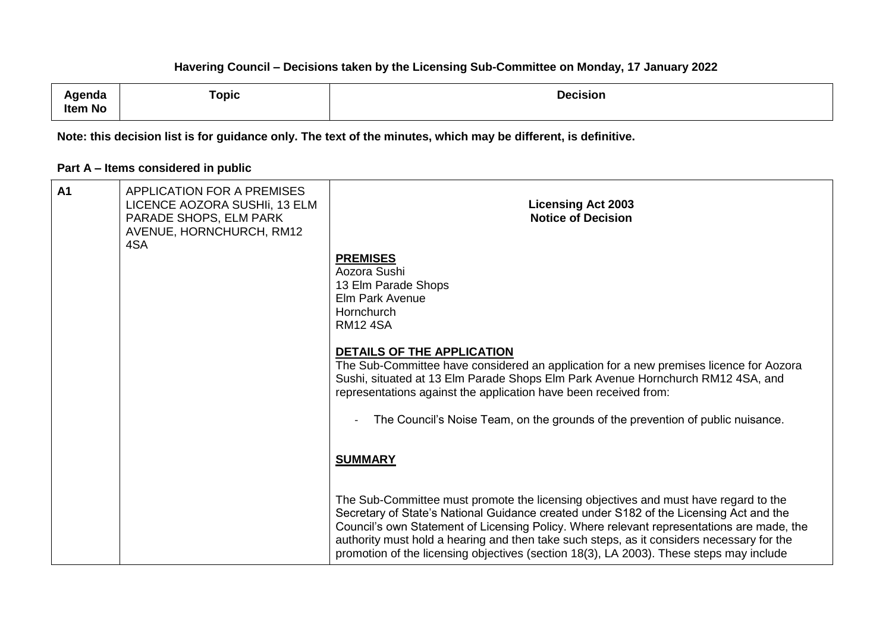| Agenda<br>Item No | Topic | <b>Decision</b> |
|-------------------|-------|-----------------|
|                   |       |                 |

**Note: this decision list is for guidance only. The text of the minutes, which may be different, is definitive.**

# **Part A – Items considered in public**

| A <sub>1</sub> | <b>APPLICATION FOR A PREMISES</b><br>LICENCE AOZORA SUSHII, 13 ELM<br>PARADE SHOPS, ELM PARK<br>AVENUE, HORNCHURCH, RM12<br>4SA | <b>Licensing Act 2003</b><br><b>Notice of Decision</b>                                                                                                                                                                                                                                                                                                                                                                                                             |
|----------------|---------------------------------------------------------------------------------------------------------------------------------|--------------------------------------------------------------------------------------------------------------------------------------------------------------------------------------------------------------------------------------------------------------------------------------------------------------------------------------------------------------------------------------------------------------------------------------------------------------------|
|                |                                                                                                                                 | <b>PREMISES</b><br>Aozora Sushi<br>13 Elm Parade Shops<br><b>Elm Park Avenue</b><br>Hornchurch<br><b>RM124SA</b>                                                                                                                                                                                                                                                                                                                                                   |
|                |                                                                                                                                 | <b>DETAILS OF THE APPLICATION</b><br>The Sub-Committee have considered an application for a new premises licence for Aozora<br>Sushi, situated at 13 Elm Parade Shops Elm Park Avenue Hornchurch RM12 4SA, and<br>representations against the application have been received from:<br>The Council's Noise Team, on the grounds of the prevention of public nuisance.                                                                                               |
|                |                                                                                                                                 | <b>SUMMARY</b>                                                                                                                                                                                                                                                                                                                                                                                                                                                     |
|                |                                                                                                                                 | The Sub-Committee must promote the licensing objectives and must have regard to the<br>Secretary of State's National Guidance created under S182 of the Licensing Act and the<br>Council's own Statement of Licensing Policy. Where relevant representations are made, the<br>authority must hold a hearing and then take such steps, as it considers necessary for the<br>promotion of the licensing objectives (section 18(3), LA 2003). These steps may include |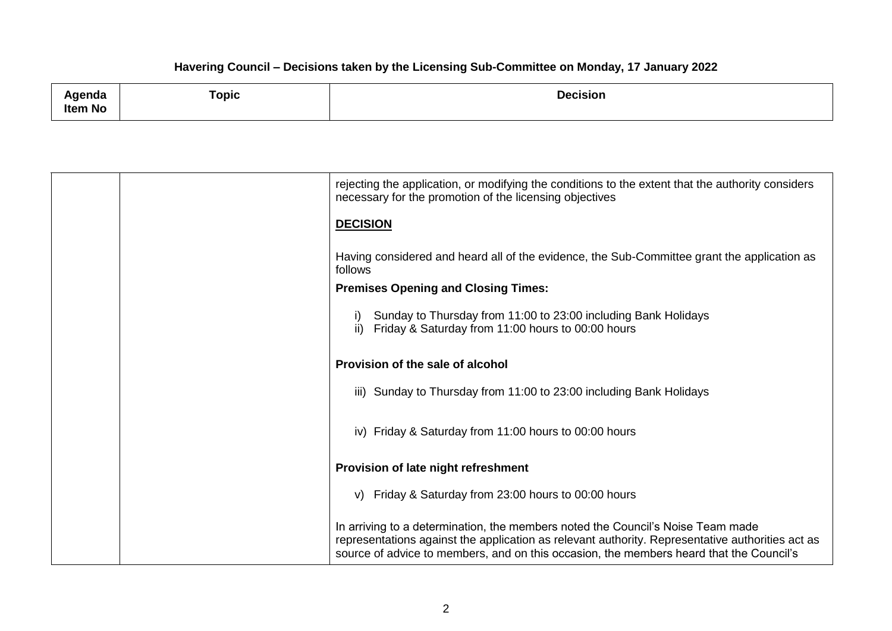| Agenda<br><b>Item No</b> | Горіс | <b>Decision</b><br>. |
|--------------------------|-------|----------------------|
|                          |       |                      |

|                 | rejecting the application, or modifying the conditions to the extent that the authority considers<br>necessary for the promotion of the licensing objectives                                                                                                                   |
|-----------------|--------------------------------------------------------------------------------------------------------------------------------------------------------------------------------------------------------------------------------------------------------------------------------|
| <b>DECISION</b> |                                                                                                                                                                                                                                                                                |
| follows         | Having considered and heard all of the evidence, the Sub-Committee grant the application as                                                                                                                                                                                    |
|                 | <b>Premises Opening and Closing Times:</b>                                                                                                                                                                                                                                     |
|                 | Sunday to Thursday from 11:00 to 23:00 including Bank Holidays<br>ii) Friday & Saturday from 11:00 hours to 00:00 hours                                                                                                                                                        |
|                 | Provision of the sale of alcohol                                                                                                                                                                                                                                               |
|                 | iii) Sunday to Thursday from 11:00 to 23:00 including Bank Holidays                                                                                                                                                                                                            |
|                 | iv) Friday & Saturday from 11:00 hours to 00:00 hours                                                                                                                                                                                                                          |
|                 | Provision of late night refreshment                                                                                                                                                                                                                                            |
|                 | v) Friday & Saturday from 23:00 hours to 00:00 hours                                                                                                                                                                                                                           |
|                 | In arriving to a determination, the members noted the Council's Noise Team made<br>representations against the application as relevant authority. Representative authorities act as<br>source of advice to members, and on this occasion, the members heard that the Council's |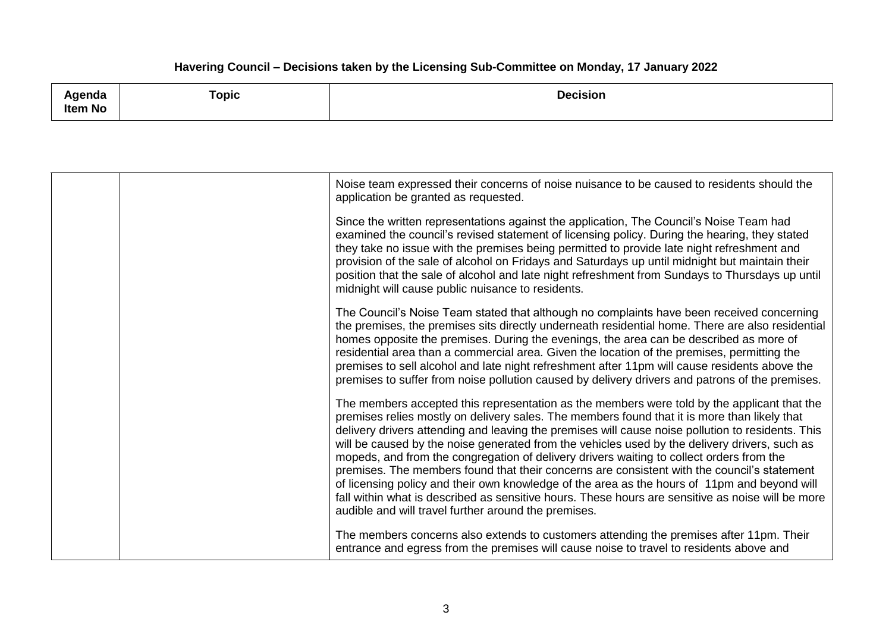| _______<br>∖genda<br>"ט<br><b>Item No</b> | <b>Topic</b> | Decision |
|-------------------------------------------|--------------|----------|
|                                           |              |          |

|  | Noise team expressed their concerns of noise nuisance to be caused to residents should the<br>application be granted as requested.                                                                                                                                                                                                                                                                                                                                                                                                                                                                                                                                                                                                                                                                                                                        |
|--|-----------------------------------------------------------------------------------------------------------------------------------------------------------------------------------------------------------------------------------------------------------------------------------------------------------------------------------------------------------------------------------------------------------------------------------------------------------------------------------------------------------------------------------------------------------------------------------------------------------------------------------------------------------------------------------------------------------------------------------------------------------------------------------------------------------------------------------------------------------|
|  | Since the written representations against the application, The Council's Noise Team had<br>examined the council's revised statement of licensing policy. During the hearing, they stated<br>they take no issue with the premises being permitted to provide late night refreshment and<br>provision of the sale of alcohol on Fridays and Saturdays up until midnight but maintain their<br>position that the sale of alcohol and late night refreshment from Sundays to Thursdays up until<br>midnight will cause public nuisance to residents.                                                                                                                                                                                                                                                                                                          |
|  | The Council's Noise Team stated that although no complaints have been received concerning<br>the premises, the premises sits directly underneath residential home. There are also residential<br>homes opposite the premises. During the evenings, the area can be described as more of<br>residential area than a commercial area. Given the location of the premises, permitting the<br>premises to sell alcohol and late night refreshment after 11pm will cause residents above the<br>premises to suffer from noise pollution caused by delivery drivers and patrons of the premises.                                                                                                                                                                                                                                                                |
|  | The members accepted this representation as the members were told by the applicant that the<br>premises relies mostly on delivery sales. The members found that it is more than likely that<br>delivery drivers attending and leaving the premises will cause noise pollution to residents. This<br>will be caused by the noise generated from the vehicles used by the delivery drivers, such as<br>mopeds, and from the congregation of delivery drivers waiting to collect orders from the<br>premises. The members found that their concerns are consistent with the council's statement<br>of licensing policy and their own knowledge of the area as the hours of 11pm and beyond will<br>fall within what is described as sensitive hours. These hours are sensitive as noise will be more<br>audible and will travel further around the premises. |
|  | The members concerns also extends to customers attending the premises after 11pm. Their<br>entrance and egress from the premises will cause noise to travel to residents above and                                                                                                                                                                                                                                                                                                                                                                                                                                                                                                                                                                                                                                                                        |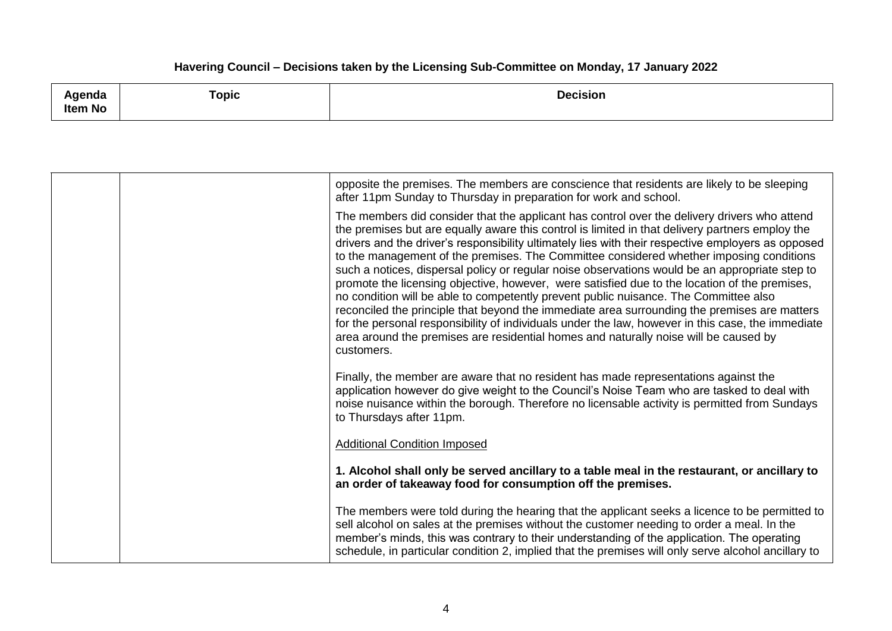| Agenda                                                                                                                     | Горіс | <b>Decision</b> |
|----------------------------------------------------------------------------------------------------------------------------|-------|-----------------|
| Item No<br>the contract of the contract of the contract of the contract of the contract of the contract of the contract of |       |                 |

|  | opposite the premises. The members are conscience that residents are likely to be sleeping<br>after 11pm Sunday to Thursday in preparation for work and school.                                                                                                                                                                                                                                                                                                                                                                                                                                                                                                                                                                                                                                                                                                                                                                                                                                        |
|--|--------------------------------------------------------------------------------------------------------------------------------------------------------------------------------------------------------------------------------------------------------------------------------------------------------------------------------------------------------------------------------------------------------------------------------------------------------------------------------------------------------------------------------------------------------------------------------------------------------------------------------------------------------------------------------------------------------------------------------------------------------------------------------------------------------------------------------------------------------------------------------------------------------------------------------------------------------------------------------------------------------|
|  | The members did consider that the applicant has control over the delivery drivers who attend<br>the premises but are equally aware this control is limited in that delivery partners employ the<br>drivers and the driver's responsibility ultimately lies with their respective employers as opposed<br>to the management of the premises. The Committee considered whether imposing conditions<br>such a notices, dispersal policy or regular noise observations would be an appropriate step to<br>promote the licensing objective, however, were satisfied due to the location of the premises,<br>no condition will be able to competently prevent public nuisance. The Committee also<br>reconciled the principle that beyond the immediate area surrounding the premises are matters<br>for the personal responsibility of individuals under the law, however in this case, the immediate<br>area around the premises are residential homes and naturally noise will be caused by<br>customers. |
|  | Finally, the member are aware that no resident has made representations against the<br>application however do give weight to the Council's Noise Team who are tasked to deal with<br>noise nuisance within the borough. Therefore no licensable activity is permitted from Sundays<br>to Thursdays after 11pm.                                                                                                                                                                                                                                                                                                                                                                                                                                                                                                                                                                                                                                                                                         |
|  | <b>Additional Condition Imposed</b>                                                                                                                                                                                                                                                                                                                                                                                                                                                                                                                                                                                                                                                                                                                                                                                                                                                                                                                                                                    |
|  | 1. Alcohol shall only be served ancillary to a table meal in the restaurant, or ancillary to<br>an order of takeaway food for consumption off the premises.                                                                                                                                                                                                                                                                                                                                                                                                                                                                                                                                                                                                                                                                                                                                                                                                                                            |
|  | The members were told during the hearing that the applicant seeks a licence to be permitted to<br>sell alcohol on sales at the premises without the customer needing to order a meal. In the<br>member's minds, this was contrary to their understanding of the application. The operating<br>schedule, in particular condition 2, implied that the premises will only serve alcohol ancillary to                                                                                                                                                                                                                                                                                                                                                                                                                                                                                                                                                                                                      |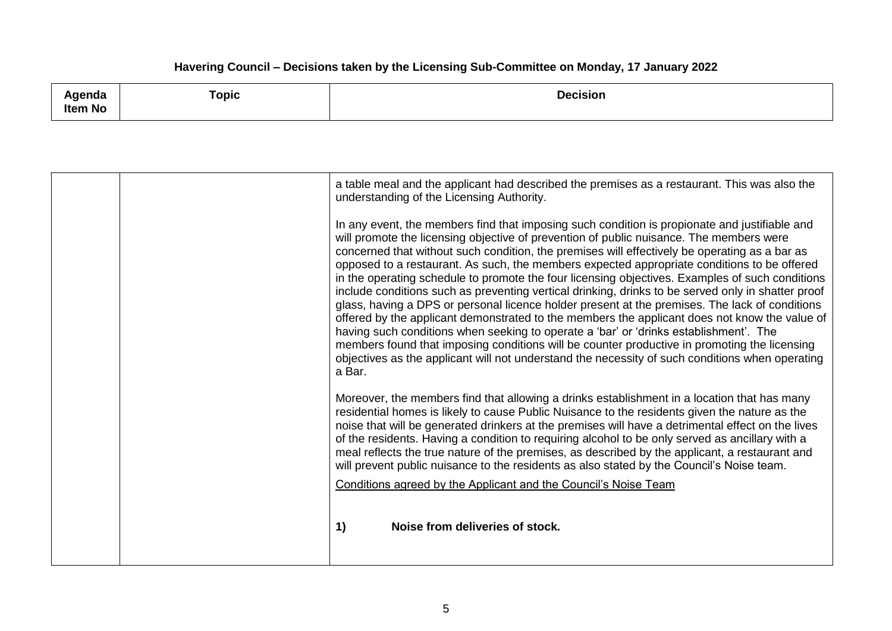| Agenda  | Горіс | <b>Decision</b> |
|---------|-------|-----------------|
| Item No |       |                 |

| opposed to a restaurant. As such, the members expected appropriate conditions to be offered<br>in the operating schedule to promote the four licensing objectives. Examples of such conditions<br>include conditions such as preventing vertical drinking, drinks to be served only in shatter proof<br>glass, having a DPS or personal licence holder present at the premises. The lack of conditions<br>offered by the applicant demonstrated to the members the applicant does not know the value of<br>having such conditions when seeking to operate a 'bar' or 'drinks establishment'. The<br>members found that imposing conditions will be counter productive in promoting the licensing<br>objectives as the applicant will not understand the necessity of such conditions when operating<br>a Bar.<br>Moreover, the members find that allowing a drinks establishment in a location that has many<br>residential homes is likely to cause Public Nuisance to the residents given the nature as the<br>noise that will be generated drinkers at the premises will have a detrimental effect on the lives<br>of the residents. Having a condition to requiring alcohol to be only served as ancillary with a<br>meal reflects the true nature of the premises, as described by the applicant, a restaurant and |
|-------------------------------------------------------------------------------------------------------------------------------------------------------------------------------------------------------------------------------------------------------------------------------------------------------------------------------------------------------------------------------------------------------------------------------------------------------------------------------------------------------------------------------------------------------------------------------------------------------------------------------------------------------------------------------------------------------------------------------------------------------------------------------------------------------------------------------------------------------------------------------------------------------------------------------------------------------------------------------------------------------------------------------------------------------------------------------------------------------------------------------------------------------------------------------------------------------------------------------------------------------------------------------------------------------------------------|
| will prevent public nuisance to the residents as also stated by the Council's Noise team.<br>Conditions agreed by the Applicant and the Council's Noise Team<br>Noise from deliveries of stock.<br>1)                                                                                                                                                                                                                                                                                                                                                                                                                                                                                                                                                                                                                                                                                                                                                                                                                                                                                                                                                                                                                                                                                                                   |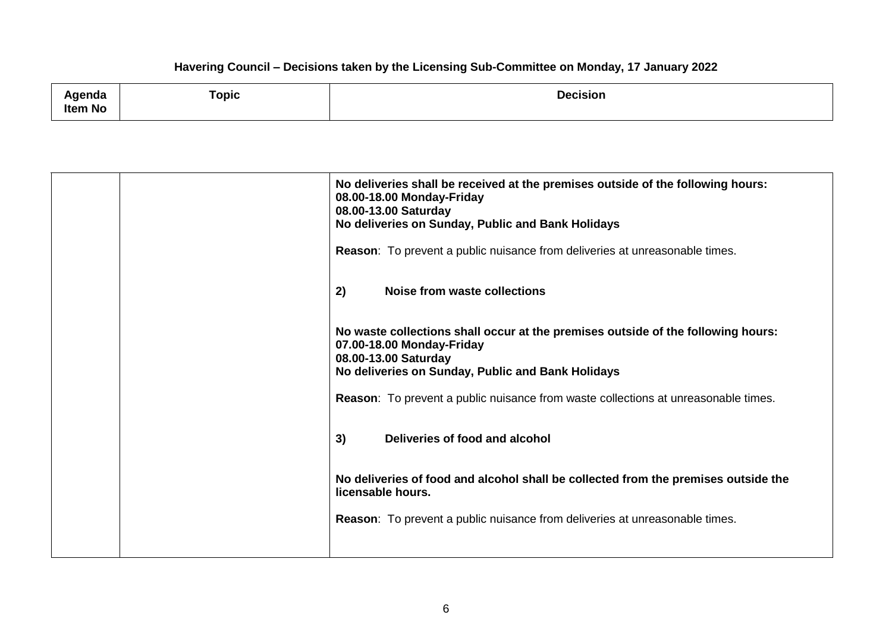| Agenda<br>Item No | $\tau$ opic | <b>Decision</b> |
|-------------------|-------------|-----------------|
|-------------------|-------------|-----------------|

| No deliveries shall be received at the premises outside of the following hours:<br>08.00-18.00 Monday-Friday<br>08.00-13.00 Saturday<br>No deliveries on Sunday, Public and Bank Holidays<br>Reason: To prevent a public nuisance from deliveries at unreasonable times. |
|--------------------------------------------------------------------------------------------------------------------------------------------------------------------------------------------------------------------------------------------------------------------------|
| <b>Noise from waste collections</b><br>2)                                                                                                                                                                                                                                |
| No waste collections shall occur at the premises outside of the following hours:<br>07.00-18.00 Monday-Friday<br>08.00-13.00 Saturday<br>No deliveries on Sunday, Public and Bank Holidays                                                                               |
| Reason: To prevent a public nuisance from waste collections at unreasonable times.                                                                                                                                                                                       |
| Deliveries of food and alcohol<br>3)                                                                                                                                                                                                                                     |
| No deliveries of food and alcohol shall be collected from the premises outside the<br>licensable hours.                                                                                                                                                                  |
| <b>Reason:</b> To prevent a public nuisance from deliveries at unreasonable times.                                                                                                                                                                                       |